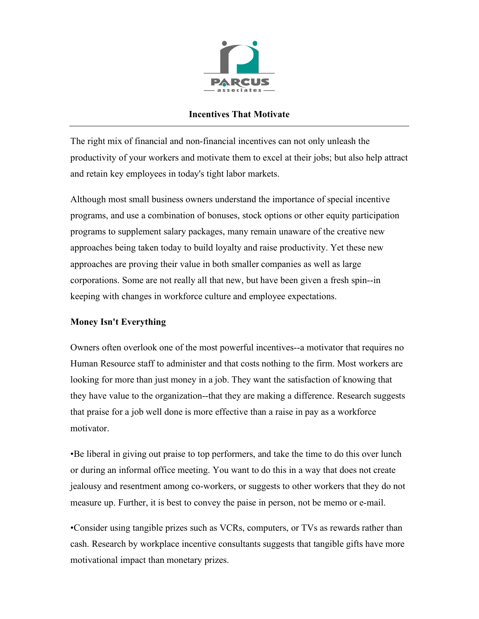

## **Incentives That Motivate**

The right mix of financial and non-financial incentives can not only unleash the productivity of your workers and motivate them to excel at their jobs; but also help attract and retain key employees in today's tight labor markets.

Although most small business owners understand the importance of special incentive programs, and use a combination of bonuses, stock options or other equity participation programs to supplement salary packages, many remain unaware of the creative new approaches being taken today to build loyalty and raise productivity. Yet these new approaches are proving their value in both smaller companies as well as large corporations. Some are not really all that new, but have been given a fresh spin--in keeping with changes in workforce culture and employee expectations.

## **Money Isn't Everything**

Owners often overlook one of the most powerful incentives--a motivator that requires no Human Resource staff to administer and that costs nothing to the firm. Most workers are looking for more than just money in a job. They want the satisfaction of knowing that they have value to the organization--that they are making a difference. Research suggests that praise for a job well done is more effective than a raise in pay as a workforce motivator.

•Be liberal in giving out praise to top performers, and take the time to do this over lunch or during an informal office meeting. You want to do this in a way that does not create jealousy and resentment among co-workers, or suggests to other workers that they do not measure up. Further, it is best to convey the paise in person, not be memo or e-mail.

•Consider using tangible prizes such as VCRs, computers, or TVs as rewards rather than cash. Research by workplace incentive consultants suggests that tangible gifts have more motivational impact than monetary prizes.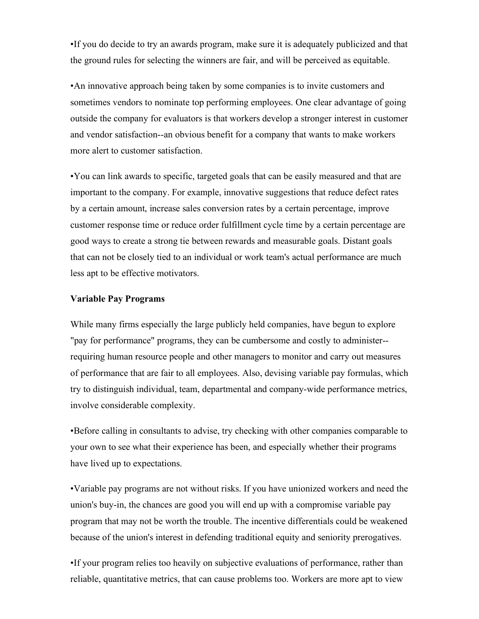•If you do decide to try an awards program, make sure it is adequately publicized and that the ground rules for selecting the winners are fair, and will be perceived as equitable.

•An innovative approach being taken by some companies is to invite customers and sometimes vendors to nominate top performing employees. One clear advantage of going outside the company for evaluators is that workers develop a stronger interest in customer and vendor satisfaction--an obvious benefit for a company that wants to make workers more alert to customer satisfaction.

•You can link awards to specific, targeted goals that can be easily measured and that are important to the company. For example, innovative suggestions that reduce defect rates by a certain amount, increase sales conversion rates by a certain percentage, improve customer response time or reduce order fulfillment cycle time by a certain percentage are good ways to create a strong tie between rewards and measurable goals. Distant goals that can not be closely tied to an individual or work team's actual performance are much less apt to be effective motivators.

## **Variable Pay Programs**

While many firms especially the large publicly held companies, have begun to explore "pay for performance" programs, they can be cumbersome and costly to administer- requiring human resource people and other managers to monitor and carry out measures of performance that are fair to all employees. Also, devising variable pay formulas, which try to distinguish individual, team, departmental and company-wide performance metrics, involve considerable complexity.

•Before calling in consultants to advise, try checking with other companies comparable to your own to see what their experience has been, and especially whether their programs have lived up to expectations.

•Variable pay programs are not without risks. If you have unionized workers and need the union's buy-in, the chances are good you will end up with a compromise variable pay program that may not be worth the trouble. The incentive differentials could be weakened because of the union's interest in defending traditional equity and seniority prerogatives.

•If your program relies too heavily on subjective evaluations of performance, rather than reliable, quantitative metrics, that can cause problems too. Workers are more apt to view